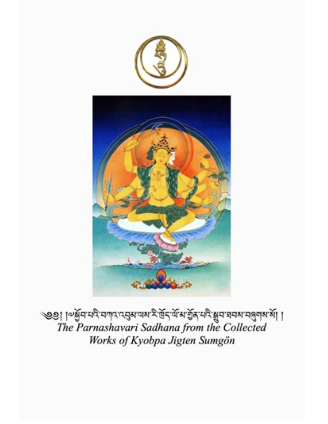

1 । अर्थव्यमे समान पशुरु यश रे पॅन यॅन से बुन से स्वयं स्वयं में ।<br>The Parnashavari Sadhana from the Collected Works of Kyobpa Jigten Sumgön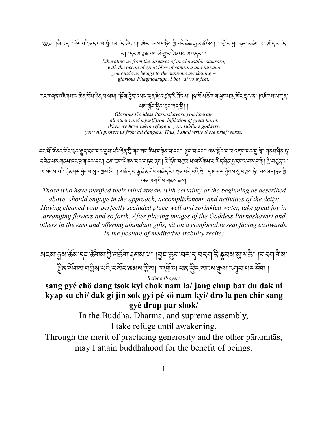্৩৩়। ∣ঝੈ་রহ্ʻব্দিঁহ্ঁমব্রির্ঘ্মযুর্শ্লিমামার্হি্উো। বিদ্যুত্ত্বের্থনাষ্ট্র্য টুৢামহ্রিউন্সামার্জীয়া ।বর্মুনিমুহ্ব্দ্রাজর্জনা ম্বেস্কিলার

থা ।ร्यवाञ्च्नायवार्थामुन्यवे ब्रियबावाद्रुहा ।

*Liberating us from the diseases of inexhaustible samsara, with the ocean of great bliss of samsara and nirvana you guide us beings to the supreme awakening – glorious Phagmodrupa, I bow at your feet.*

རང་ག๑ན་འརིགས་པ་கॆན་པོས་སེན་པ་ལས། །སོལ་བེད་དཔལ་ལྲན་རེ་བྲོན་རི་ལོད་མ། །ལྲ་མོ་མகོག་ལ་སྐབས་སྲ་སོང་གྱར་ན། །འརིགས་པ་ཀུན་ থম'ৰ্মুন'ধীম'ম্ভুম'ৰ্ন' বী। ।

> *Glorious Goddess Parnashavari, you liberate all others and myself from infliction of great harm. When we have taken refuge in you, sublime goddess, you will protect us from all dangers. Thus, I shall write these brief words.*

<u>៹</u>⊏་པོ་ལོནར་གོང་ལྲར་རྱང་དག་པར་བུས་པའི་རེན་གྱི་གང་རྲག་གིས་བསྱེན་པ་དང་། སྲབ་པ་དང་། ལས་སྲོར་བ་ལ་འརྲག་པར་བུ་སྲེ། གནས་भैན་ད <u>དབེ</u>ན་པར་གནས་གང་ཕུག་དར་དང་། ಹག་ಹག་ལེགས་པར་བཏབ་ནས། མེ་དོག་བཀྲས་པ་ལ་སོགས་པ་ལིད་བིན་བུ་དགའ་བར་བྱ་སྲེ། ≧་བརུན་མ་ <u>ঋর্মনাথার্মাই উর্দের সুমারার্মিনা গ্রাই বিদ্যালি ডুপ্রায়ার্মাই বিদ্যালয় করি বিদ্যালয় বিদ্যালয় বিদ্যালয় ব</u> ཡན་ལག་གིས་གནས་ནས།

*Those who have purified their mind stream with certainty at the beginning as described above, should engage in the approach, accomplishment, and activities of the deity: Having cleaned your perfectly secluded place well and sprinkled water, take great joy in arranging flowers and so forth. After placing images of the Goddess Parnashavari and others in the east and offering abundant gifts, sit on a comfortable seat facing eastwards. In the posture of meditative stability recite:*

়মমেন্স্ৰমাৰ্ক্ৰমান্মান্ত্ৰীসক্ৰমান্ক্ৰমমাআ় ।মৃমাক্ৰমানমন্মান্দীৰাস্মান্দিক বিভিন্ন কৰি সম্পৰ্কী । ষ্ট্রিন্সর্মলম ঘট্টিম ঘর্ষ নর্মন ক্রমম ট্রম। ।বর্ম্রান্ম ন্বে ইিং মেচমা ক্রম বেম্রান ঘন্দর্যনা । *Refuge Prayer:*

#### **sang gyé chö dang tsok kyi chok nam la/ jang chup bar du dak ni kyap su chi/ dak gi jin sok gyi pé sö nam kyi/ dro la pen chir sang gyé drup par shok/**

In the Buddha, Dharma, and supreme assembly, I take refuge until awakening.

Through the merit of practicing generosity and the other pāramitās, may I attain buddhahood for the benefit of beings.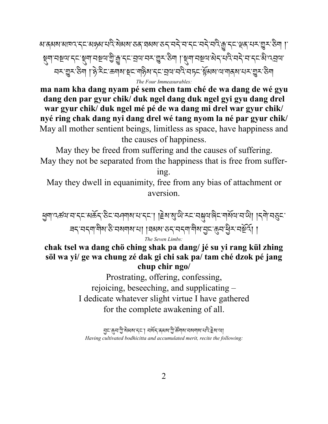མ་ནམས་མཁའ་དང་མཉམ་པའི་སེམས་ཅན་ཐམས་ཅད་བདེ་བ་དང་བདེ་བའི་W་དང་Cན་པར་Oར་ཅིག །་ ম্মানম্নার্দ্রমানম্নাম্রীমূর্ণেরাম্রার্শ্বের্ণার্শ্বের্ণার্শ্বের্ণার্শ্বের্ণার্ ঘਨ'য়ুਨ'ਠੈਗ ।'हे'মੈ८'ಹਗਭਾ ਭੂਨ'বাইম'বৃত 'ঘ্ৰা'ঘণ্ড অচ্চত স্থিত অৱশ্যাত্মক অৱশ্যাত্মক অৱশ *The Four Immeasurables:*

**ma nam kha dang nyam pé sem chen tam ché de wa dang de wé gyu dang den par gyur chik/ duk ngel dang duk ngel gyi gyu dang drel war gyur chik/ duk ngel mé pé de wa dang mi drel war gyur chik/ nyé ring chak dang nyi dang drel wé tang nyom la né par gyur chik/** May all mother sentient beings, limitless as space, have happiness and the causes of happiness.

May they be freed from suffering and the causes of suffering. May they not be separated from the happiness that is free from suffer-

ing.

May they dwell in equanimity, free from any bias of attachment or aversion.

ধূনাৎক্ষণবান্দৰ্যক্ৰী উচাৰনৰ অসমতি ৷ বিশ্বজন্ম বিদাৰ বিদ্যালয় বিশ্বজন বন্দেশাশীৰ উদ্মৰ্শৰাৰ ৰাজ্যৰ কৰ্মৰ শীৰ্ষ বুন্দুনস্থিত নৰ্মূৰ্ণ। *The Seven Limbs:*

#### **chak tsel wa dang chö ching shak pa dang/ jé su yi rang kül zhing söl wa yi/ ge wa chung zé dak gi chi sak pa/ tam ché dzok pé jang chup chir ngo/**

Prostrating, offering, confessing, rejoicing, beseeching, and supplicating – I dedicate whatever slight virtue I have gathered for the complete awakening of all.

ন্ৰ=ক্ষেত্ৰী, ৰূপ্ত স্থাপন কৰি সম্পৰ্কী, ৰূপ্ত স্থাপন কৰি স্থাপন কৰি স্থাপন *Having cultivated bodhicitta and accumulated merit, recite the following:*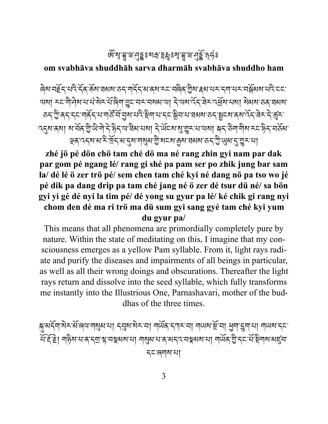## <u>ଊୁଣ ମାଂଧି ଅବସ୍ଥା । ମାଞ୍ଚିତ ଏକ ଅବସ୍ଥା ।</u>

#### **om svabhāva shuddhāh sarva dharmāh svabhāva shuddho ham**

ଵ़ेशॱय़ॾॆॸॱय़ऎॱॸ॔॓क़ॱक़ॕॺॱय़ॺॺॱॸॸॱग़ॸॎ॔॓ॸॱॺॱक़ॺॱॸॸॱय़ॿॆक़ॱॻॆॳॱड़ॺॱय़ॸॱॸक़ऄॺॺॱय़ऎॱॸॸॱ <u>এমা মনলীদিৰ বাবাৰীসমূহীৰ বিশেষ বিশেষ বিশেষ দিয়ে বিশিষ্ট্য প্ৰদাস বিশিষ্ট্য প্ৰদাস বিশ্বৰ</u> <u></u>ठदाण्डे बदादमार्गदेन या गाउँ मैं मुखायादे हेमायादम ह्रीयाया ब्रह्मा उदाहुम्या ब्रह्मा देन चेन देखून ব্5্ষাক্ষা মার্ঘক্ খ্রীন্টান্টাইণ্ট্র্দায়ী রামান্যা দির্ঘেরায়ুমুমানামা ন্ন্দাষ্ট্রান্ট্র্দাম্বারামান্ট্র্দা ৼৃত্র'বর্ম'ঝ'ই'র্দ্র'ম'ব্রম'শমুঝ'শ্রী'মহম'ক্রম'ঘঝম'তব'শ্রী'ঋ়্ম'ব্র'শ্রুব'থা

**zhé jö pé dön chö tam ché dö ma né rang zhin gyi nam par dak par gom pé ngang lé/ rang gi shé pa pam ser po zhik jung bar sam la/ dé lé ö zer trö pé/ sem chen tam ché kyi né dang nö pa tso wo jé pé dik pa dang drip pa tam ché jang né ö zer dé tsur dü né/ sa bön gyi yi gé dé nyi la tim pé/ dé yong su gyur pa lé/ ké chik gi rang nyi chom den dé ma ri trö ma dü sum gyi sang gyé tam ché kyi yum du gyur pa/**

This means that all phenomena are primordially completely pure by nature. Within the state of meditating on this, I imagine that my consciousness emerges as a yellow Pam syllable. From it, light rays radiate and purify the diseases and impairments of all beings in particular, as well as all their wrong doings and obscurations. Thereafter the light rays return and dissolve into the seed syllable, which fully transforms me instantly into the Illustrious One, Parnashavari, mother of the buddhas of the three times.

গ্মুঅর্ন্নাম্বিনউজিঅসাম্ব্যুমানা ন্মুমাম্বিনমা নার্ড্রিন্দানা নাডামার্ষ্টানা প্রনাম্বনামা নাডামান্ন যঁহিঁা নাষ্টিৰ ঘাৰ বিশ্ৰাস্থ্য নম্বৰৰ মাণ নাৰ্থৰ ঘাৰ মৰ্শিত স্থাৰ মাণ নাৰ্থৰ উদ্দেশ্য স্থাৰৰ মৰ্ དང་ཞགས་པ།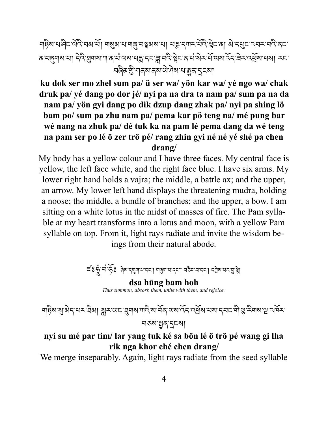শβ্ম ঘানী আৰু মাৰা আৰু মুখ মাৰাৰী মাৰা মাৰা এই বিভিন্নী আৰু মুখ বিদ্যালয় আৰু মুখ বিদ্যালয় ক বাম্জ্যামামা বিষ্যুমামানাৰামামামান্ত্ৰাৰৰ বিষ্টুচাৰামীৰ সমিত্ৰৰ বিষ্ণুমামানা কৰা <u>ব</u>ৰিক'খ্ৰীশৰ্কমাক্ষমাঞ্চলীৰ শিল্পৰ বিদ্যা

**ku dok ser mo zhel sum pa/ ü ser wa/ yön kar wa/ yé ngo wa/ chak druk pa/ yé dang po dor jé/ nyi pa na dra ta nam pa/ sum pa na da nam pa/ yön gyi dang po dik dzup dang zhak pa/ nyi pa shing lö bam po/ sum pa zhu nam pa/ pema kar pö teng na/ mé pung bar wé nang na zhuk pa/ dé tuk ka na pam lé pema dang da wé teng na pam ser po lé ö zer trö pé/ rang zhin gyi né né yé shé pa chen drang/**

My body has a yellow colour and I have three faces. My central face is yellow, the left face white, and the right face blue. I have six arms. My lower right hand holds a vajra; the middle, a battle ax; and the upper, an arrow. My lower left hand displays the threatening mudra, holding a noose; the middle, a bundle of branches; and the upper, a bow. I am sitting on a white lotus in the midst of masses of fire. The Pam syllable at my heart transforms into a lotus and moon, with a yellow Pam syllable on top. From it, light rays radiate and invite the wisdom beings from their natural abode.

$$
\mathsf{E}'8\mathsf{R}'\mathsf{R}'\mathsf{R}'\mathsf{R}'\mathsf{R}''\mathsf{R}''\mathsf{R}''\mathsf{R}''\mathsf{R}''\mathsf{R}''\mathsf{R}''\mathsf{R}''\mathsf{R}''\mathsf{R}''\mathsf{R}''\mathsf{R}''\mathsf{R}''\mathsf{R}''\mathsf{R}''\mathsf{R}''\mathsf{R}''\mathsf{R}''\mathsf{R}''\mathsf{R}''\mathsf{R}''\mathsf{R}''\mathsf{R}''\mathsf{R}''\mathsf{R}''\mathsf{R}''\mathsf{R}''\mathsf{R}''\mathsf{R}''\mathsf{R}''\mathsf{R}''\mathsf{R}''\mathsf{R}''\mathsf{R}''\mathsf{R}''\mathsf{R}''\mathsf{R}''\mathsf{R}''\mathsf{R}''\mathsf{R}''\mathsf{R}''\mathsf{R}''\mathsf{R}''\mathsf{R}''\mathsf{R}''\mathsf{R}''\mathsf{R}''\mathsf{R}''\mathsf{R}''\mathsf{R}''\mathsf{R}''\mathsf{R}''\mathsf{R}''\mathsf{R}''\mathsf{R}''\mathsf{R}''\mathsf{R}''\mathsf{R}''\mathsf{R}''\mathsf{R}''\mathsf{R}''\mathsf{R}''\mathsf{R}''\mathsf{R}''\mathsf{R}''\mathsf{R}''\mathsf{R}''\mathsf{R}''\mathsf{R}''\mathsf{R}''\mathsf{R}''\mathsf{R}''\mathsf{R}''\mathsf{R}''\mathsf{R}''\mathsf{R}''\mathsf{R}''\mathsf{R}''\mathsf{R}''\mathsf{R}''\mathsf{R}''\mathsf{R}''\mathsf{R}''\mathsf{R}''\mathsf{R}''\mathsf{R}''\mathsf{R}''\mathsf{R}''\mathsf{R}''\mathsf{R}''\mathsf{R}''\mathsf{R}''\mathsf{R}''\mathsf{R}''\mathsf{R}'''\mathsf{R}''\mathsf{R}''\mathsf{R}''\mathsf{R}''\mathsf{R}'''\mathsf{R}''\mathsf{R}'''\mathsf{R}'''\mathsf{R}''
$$

**dsa hūng bam hoh** *Thus summon, absorb them, unite with them, and rejoice.*

শৡৰাষ্যুমন্মেন্দ্ৰীমা মুন্ডেন্দ্ৰেশৰাস্মিৰাৰ্শক বিশেষবিত্ৰিত্বাৰ্শন্দ্ৰীভূম্বিশৰাস্থিত্ব নতমান্নৰ ব্ৰহ্মা

#### **nyi su mé par tim/ lar yang tuk ké sa bön lé ö trö pé wang gi lha rik nga khor ché chen drang/**

We merge inseparably. Again, light rays radiate from the seed syllable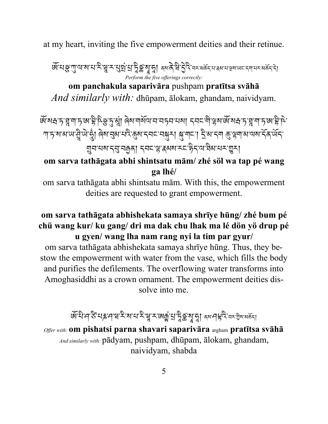at my heart, inviting the five empowerment deities and their retinue.

জ্যেঞ্জ্য বাৰা বাই শ্লু কর্মদুর্দ্রা দুর্জ্য বা বিরুদ্ধ কর্ম বিদ্যালয় বিশেষ বিদ্যালয় বিদ্যালয় বিদ্যালয় *Perform the five offerings correctly:*

**om panchakula saparivāra** pushpam **pratītsa svāhā** *And similarly with:* dhūpam, ālokam, ghandam, naividyam.

জঁষেদ্ৰ চায়ুশা চাজাহ্নী চিঞ্জু চুপ্ম। ৰিমাশৰ্মনা নামকৰা মানা নামকা ৰিমাজী মদ্ৰ চায়ুশা চাজাহ্নী দি শাদৃষোমাআত্মীআত্মী ৰিমান্ত্ৰমাঘবিক্ষোদ্বনমন্ত্ৰস্থা স্কাশন। ইস্মাদশা ক্ৰুঞ্জশামাত্মমাৰ্দিকাৰ্থনা ঘ্ৰন'থম'ন্মু'নক্ৰা ন্বন'স্ত্ৰ'ৰ্মম'ন্দ'ষ্টন'থ'ষ্টম'থন'ভ্ৰুন।

#### **om sarva tathāgata abhi shintsatu mām/ zhé söl wa tap pé wang ga lhé/**

om sarva tathāgata abhi shintsatu mām. With this, the empowerment deities are requested to grant empowerment.

#### **om sarva tathāgata abhishekata samaya shrīye hūng/ zhé bum pé chü wang kur/ ku gang/ dri ma dak chu lhak ma lé dön yö drup pé u gyen/ wang lha nam rang nyi la tim par gyur/**

om sarva tathāgata abhishekata samaya shrīye hūng. Thus, they bestow the empowerment with water from the vase, which fills the body and purifies the defilements. The overflowing water transforms into Amoghasiddhi as a crown ornament. The empowerment deities dissolve into me.

# জঁঘিদস্কেন কাৰ্য হৈ আৰু হৈ দুৰু অন্যুত্তি হৈ বিভিন্ন কৰি কৰি বিভিন্ন কৰি বিভিন্ন কৰি

*Offer with:* **om pishatsi parna shavari saparivāra** argham **pratītsa svāhā** *And similarly with:* pādyam, pushpam, dhūpam, ālokam, ghandam, naividyam, shabda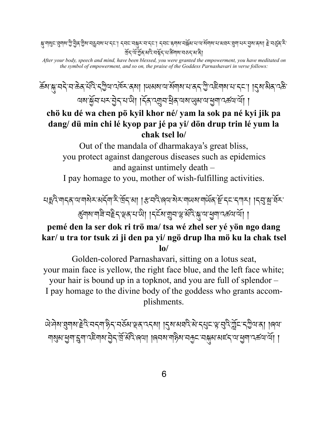क्षु শাঝু= ব্ৰূশৰ ত্ৰী ব্ৰীৱ শ্ৰীৰ অন্যান বিভিন্ন সমূহৰ সমূহৰ পৰা বিভিন্ন সমূহৰ সমূহৰ সমূহৰ সমূহৰ সমূহৰ সমূহৰ স দ্র্দ্র্যার্শ্রুর্স্বার্ম্ব্র্য্য উন্মান্ত্র্য জী

*After your body, speech and mind, have been blessed, you were granted the empowerment, you have meditated on the symbol of empowerment, and so on, the praise of the Goddess Parnashavari in verse follows:*

ৰ্ক্তমান্ত্ৰাঘই বাৰ্টমান্টিমান্টিমান্ট ৰিমাণ্ডাৰ্মান্ট বিলিমান্ট বিলিমান্ট বিলিমান্ট বিলিমান্ট বি অম'ৰ্ম্লন'মন'ন্ৰ্ন ম'থা। ব্ৰিন'ৰ্ম্ৰন'ষ্ৰ্ৰ অম'ড্ৰেম'ন্ৰ'সেজে ।

## **chö ku dé wa chen pö kyil khor né/ yam la sok pa né kyi jik pa dang/ dü min chi lé kyop par jé pa yi/ dön drup trin lé yum la chak tsel lo/**

Out of the mandala of dharmakaya's great bliss, you protect against dangerous diseases such as epidemics and against untimely death –

I pay homage to you, mother of wish-fulfilling activities.

থহ্নবিল্বের আবাৰীক অর্ন্সিউনি প্রায় । স্কু ব্রত্তি জিলা প্রকাশ আবাৰী বিদ্যালয় । বিদ্যুষ্কার্য বি স্কুনাম'নাৰী'নইন'স্থৰ'ম'আ। ।নইম'ন্মুন'স্পৰ্শী শ্ৰীসম্পাত্মকৰা'ৰ্মা ।

## **pemé den la ser dok ri trö ma/ tsa wé zhel ser yé yön ngo dang kar/ u tra tor tsuk zi ji den pa yi/ ngö drup lha mö ku la chak tsel lo/**

Golden-colored Parnashavari, sitting on a lotus seat, your main face is yellow, the right face blue, and the left face white; your hair is bound up in a topknot, and you are full of splendor – I pay homage to the divine body of the goddess who grants accomplishments.

ऄऄॺॱয়ॖ॒ॻॺॱॾॆऄॱॸॸज़ॱऄॖॸॱॸऄ॔ॺॱख़ॸॱॸॸॴॱड़ॎॖॺॱॺॺऄऄॱॸॶॸॱॿॱॶऄॶॕफ़॔ॸॸॏॗॺॱॸऻॱ ।ॎॺॱ শমুম ধূন হ্রিশ বেলিমা ব্রিশ বিষ্ণো । বিব্রিশ ন্য বিদ্য বিষ্ণা প্রদেশের নিয়ে ।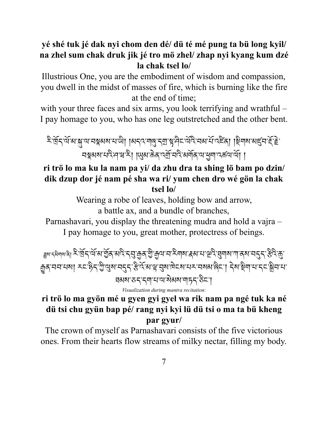#### **yé shé tuk jé dak nyi chom den dé/ dü té mé pung ta bü long kyil/ na zhel sum chak druk jik jé tro mö zhel/ zhap nyi kyang kum dzé la chak tsel lo/**

Illustrious One, you are the embodiment of wisdom and compassion, you dwell in the midst of masses of fire, which is burning like the fire at the end of time;

with your three faces and six arms, you look terrifying and wrathful – I pay homage to you, who has one leg outstretched and the other bent.

\*িদ্র্দ্র্যমান্ত্র্যমানস্থৰ মাজী। বিধিনাৰ্থি দ্রাস্থ্র দিস্মুই বিধান সামেদ্রে বিধান স্থিনী দিব দ্রাস্থ্র নম্বুনৰামবিদেশেকী। খেনাক্টৰাবৰ্শ্ৰামবিন্সৰামুশ্ৰামকলাৰী।

### **ri trö lo ma ku la nam pa yi/ da zhu dra ta shing lö bam po dzin/ dik dzup dor jé nam pé sha wa ri/ yum chen dro wé gön la chak tsel lo/**

Wearing a robe of leaves, holding bow and arrow, a battle ax, and a bundle of branches,

Parnashavari, you display the threatening mudra and hold a vajra – I pay homage to you, great mother, protectress of beings.

<sub>ন্নশ </sub>ৎম্মৰূপে ২ শ্ৰিন অমি মূৰ্ত পত্ৰ ২ বি. মি. এই. মি. এই. মি. এই. মি. এই. এই. এই. এই. এই. এই. এই. এই. এই. ক্ৰুন্'নন'মমা རང་རིད་ཀྱི་ལུས་নདད་རི་འོ་མ་ལུ་བུས་দ៝ངས་པར་བསམ་ནིང་། དེས་སྲིག་པ་དང་སྲིন'মা ཐམས་ཅད་དག་པ་ལ་སེམས་གཏད་ཅིང་།

*Visualization during mantra recitation:*

## **ri trö lo ma gyön mé u gyen gyi gyel wa rik nam pa ngé tuk ka né dü tsi chu gyün bap pé/ rang nyi kyi lü dü tsi o ma ta bü kheng par gyur/**

The crown of myself as Parnashavari consists of the five victorious ones. From their hearts flow streams of milky nectar, filling my body.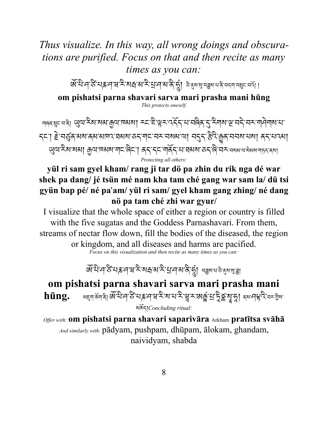## *Thus visualize. In this way, all wrong doings and obscurations are purified. Focus on that and then recite as many times as you can:*

জঁঘি:দস্টমে, দুদ্দামী: বাৰাজ্যৰ বিদ্যালয় বিদ্যালয় কাৰ্য প্ৰদেশ কৰি । **om pishatsi parna shavari sarva mari prasha mani hūng** *This protects oneself.*

শ্ৰৰস্থানৰী অ্যান্টিমামামান্দ্ৰমাদৰামা মন্দ্ৰিস্বেইন্দানৰিন্দ্ৰস্থাৰীসমূহ নামান্দ্ৰমান্দ ন্দা È নৰ্ত্তৰ অৰ্জমজাত্ৰ সমৰ কৰ্ণাৰ বৰ সম্বৰ্জন নৰ্ত্ত ইন্ট ক্ৰিন্স কৰি বৰ সম্বৰ্জা <u></u> অ্যা হিমামেন্সা ক্রমানমমানা বিনা ব্রান্দেশর্মিন মার্সিন কর্মী কর্মী বিনাক্ষর বিনাক্ষর বিনাক্ষর বিনাক্ষর বিনা *Protecting all others:*

#### **yül ri sam gyel kham/ rang ji tar dö pa zhin du rik nga dé war shek pa dang/ jé tsün mé nam kha tam ché gang war sam la/ dü tsi gyün bap pé/ né pa**'**am/ yül ri sam/ gyel kham gang zhing/ né dang nö pa tam ché zhi war gyur/**

I visualize that the whole space of either a region or country is filled with the five sugatas and the Goddess Parnashavari. From them, streams of nectar flow down, fill the bodies of the diseased, the region or kingdom, and all diseases and harms are pacified. *Focus on this visualization and then recite as many times as you can:*

জঁঘিদস্কেন দেখি বিজেপি বিজেপি বিজি

## **om pishatsi parna shavari sarva mari prasha mani**  hūng. अह्माऊँमाने अँघिम ठैं सहमय रिस्थ में सुरुषानुं सुर्के अपनि दिस्काल མཆོད།*Concluding ritual:*

*Offer with:* **om pishatsi parna shavari saparivāra** Arkham **pratītsa svāhā** *And similarly with:* pādyam, pushpam, dhūpam, ālokam, ghandam, naividyam, shabda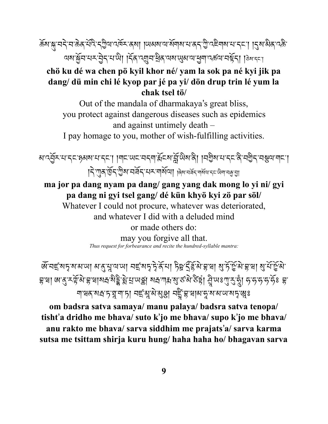ৰ্ক্ৰমান্ত্ৰা'ন'ৰ'ক্ৰম'ৰ্শ্বি'ন্ট্ৰীয়'নৰ্দ্ৰিম'ৰ্মা| ।অমম'মাৰ্শ্বশ্ৰাম'ন'ৰ্ম'টা'ন্ইশ্ৰমাম'ৰ্মন'। ।্মুম'মীৰ্'ন্ক অম'ৰ্ক্লব'থ-ইব'থাঁথ। বিন'ব্যাব'ৰ্শ্বিশ'ৰাম্' অৰা'বৰ্কৰা' বৰ্ষ্টবা । ১৯'বৰা

#### **chö ku dé wa chen pö kyil khor né/ yam la sok pa né kyi jik pa dang/ dü min chi lé kyop par jé pa yi/ dön drup trin lé yum la chak tsel tö/**

Out of the mandala of dharmakaya's great bliss, you protect against dangerous diseases such as epidemics and against untimely death –

I pay homage to you, mother of wish-fulfilling activities.

<u>য়ঢ়ঀৣ৾</u>ঽ་য়་དང་རུམས་པ་དང་། །གང་ལང་བདག་རརོངས་རྐོ་ལིས་ནི། །བརྱིས་པ་དང་ནི་བརྱིད་བསྱལ་གང་། |২িঁ'গ্ৰেক'ৰ্ড্ৰি'স্মেমৰ্মি হামাৰা ৰিম'নৰ্মৰ বিশেষ আৰু বিভিন্ন

**ma jor pa dang nyam pa dang/ gang yang dak mong lo yi ni/ gyi pa dang ni gyi tsel gang/ dé kün khyö kyi zö par söl/**

Whatever I could not procure, whatever was deteriorated, and whatever I did with a deluded mind or made others do:

> may you forgive all that. *Thus request for forbearance and recite the hundred-syllable mantra:*

জঁব্ছৰদুৰ্মানাৰা নাৰ্পুৰালা বছৰদুদ্দীৰ্ষী দিহুৱিৰীৰৰা ৰাষ্ট্ৰীয়ৰা মুৰ্ঘৰ্ছনা হুত্মা জাৰ্, কৰ্ডুমি:হুত্মাৰাক্ষিষ্ট্ৰীয় অস্থ্ৰী মৰ্যশায় ৰাজ্যকৰী ষ্ট্ৰা ন্ৰী অঃশ্ৰী ইংগুৰ ১৯৯২ চ ག་ཝན་སr་ཏ་ù་ག་ཏ། བ¥་†་མེ་øî། བ¿£་བྷ་ཝ།མ་õ་ས་མ་ཡ་སµ་£ཿ

**om badsra satva samaya/ manu palaya/ badsra satva tenopa/ tisht**'**a dridho me bhava/ suto k**'**jo me bhava/ supo k**'**jo me bhava/ anu rakto me bhava/ sarva siddhim me prajats**'**a/ sarva karma sutsa me tsittam shirja kuru hung/ haha haha ho/ bhagavan sarva**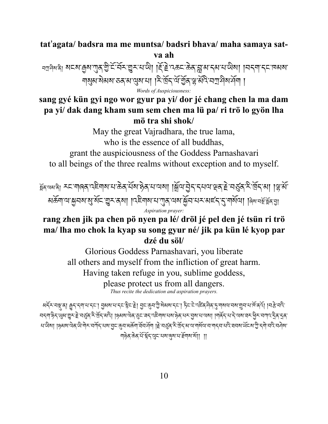#### **tat**'**agata/ badsra ma me muntsa/ badsri bhava/ maha samaya satva ah**

ব্মুন্দৰ্শনী মহমান্ত্ৰমাত্মকাৰী হিঁছি বিভাৰ কৰা প্ৰাপ্ত বিভাৰ পৰা বিধানমালী বিদ্যালয় কৰা বিধান নায়ম'মমম'তব'ম'য়েম'মা। শির্দ্রিশর্মান্ত্রীজ'ক্ল'মান্দ্রিমর্দনা। *Words of Auspiciousness:*

#### **sang gyé kün gyi ngo wor gyur pa yi/ dor jé chang chen la ma dam pa yi/ dak dang kham sum sem chen ma lü pa/ ri trö lo gyön lha mö tra shi shok/**

May the great Vajradhara, the true lama, who is the essence of all buddhas, grant the auspiciousness of the Goddess Parnashavari to all beings of the three realms without exception and to myself.

র্য়ুৰ্ভ্ৰমজী মহাশাৰ্জ বেছিশাৰা নাক্টৰ ঘঁৰা ষ্ট্ৰৰ মানাৰা। ব্ৰিমান্ত্ৰ বিশেষ ৰিমান্ত্ৰ হৈ বিশিষ্য। দ্বিয়ে མཆོག་ལ་Mབས་N་སོང་Oར་ནས། །འཇིགས་པ་Pན་ལས་Mོབ་པར་མཛད་G་གསོལ། །ཞེས་བgT་¬Uན་@། *Aspiration prayer:*

### **rang zhen jik pa chen pö nyen pa lé/ dröl jé pel den jé tsün ri trö ma/ lha mo chok la kyap su song gyur né/ jik pa kün lé kyop par dzé du söl/**

Glorious Goddess Parnashavari, you liberate all others and myself from the infliction of great harm. Having taken refuge in you, sublime goddess, please protect us from all dangers. *Thus recite the dedication and aspiration prayers.*

མདོར་བསྲ་ན། རྱད་དག་པ་དང་། བྱམས་པ་དང་སྱེང་རੇ། བྱང་རྱུབ་ཀྱི་སེམས་དང་། རིང་ངེ་འརིརོན་བིན་བྱུ་གསལ་བས་གྱུབ་པ་ལོ་ནའོ། །བརརེ་བའི་ ঘন্নাৡন্ অসম্ভুন ≧ ঘর্ত্ক নীর্ঘিন কৰি। ।ৡনমাত্মক তুন বন্দ বেইনামামমাঙ্ক মানাড়ামামামা। ।মার্কন মানামাসামাসামাস ঘাউষা। ৪৯াষা এরাডী লীকাবার্দিকা বিদ্যালী একান্দিকার দুর্বিদ্রা দুর্বিদ্রা নির্বিদ্রা দিবী এবা নির্বিদ্রা দুর্ শঽঌ৻<sup>৵</sup>ঽৢৼ৻য়৸ৼ৸ৼ৸ৼ৻৸ৼ৸ৼ৻৸ৼ৻৸৸